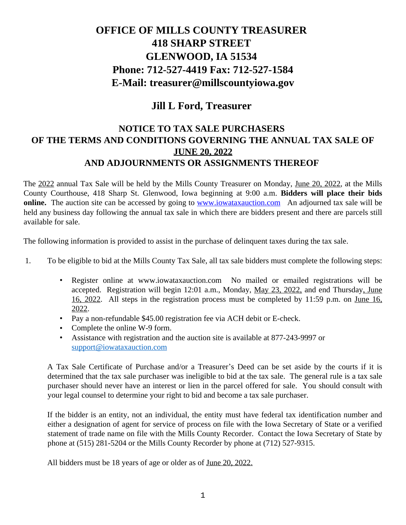# **OFFICE OF MILLS COUNTY TREASURER 418 SHARP STREET GLENWOOD, IA 51534 Phone: 712-527-4419 Fax: 712-527-1584 E-Mail: treasurer@millscountyiowa.gov**

## **Jill L Ford, Treasurer**

### **NOTICE TO TAX SALE PURCHASERS OF THE TERMS AND CONDITIONS GOVERNING THE ANNUAL TAX SALE OF JUNE 20, 2022 AND ADJOURNMENTS OR ASSIGNMENTS THEREOF**

The 2022 annual Tax Sale will be held by the Mills County Treasurer on Monday, June 20, 2022, at the Mills County Courthouse, 418 Sharp St. Glenwood, Iowa beginning at 9:00 a.m. **Bidders will place their bids online.** The auction site can be accessed by going to **[www.iowataxauction.com](http://www.iowataxauction.com/)** An adjourned tax sale will be held any business day following the annual tax sale in which there are bidders present and there are parcels still available for sale.

The following information is provided to assist in the purchase of delinquent taxes during the tax sale.

- 1. To be eligible to bid at the Mills County Tax Sale, all tax sale bidders must complete the following steps:
	- Register online at www.iowataxauction.com No mailed or emailed registrations will be accepted. Registration will begin 12:01 a.m., Monday, May 23, 2022, and end Thursday, June 16, 2022. All steps in the registration process must be completed by 11:59 p.m. on June 16, 2022.
	- Pay a non-refundable \$45.00 registration fee via ACH debit or E-check.
	- Complete the online W-9 form.
	- Assistance with registration and the auction site is available at 877-243-9997 or [support@iowataxauction.com](mailto:support@iowataxauction.com)

A Tax Sale Certificate of Purchase and/or a Treasurer's Deed can be set aside by the courts if it is determined that the tax sale purchaser was ineligible to bid at the tax sale. The general rule is a tax sale purchaser should never have an interest or lien in the parcel offered for sale. You should consult with your legal counsel to determine your right to bid and become a tax sale purchaser.

If the bidder is an entity, not an individual, the entity must have federal tax identification number and either a designation of agent for service of process on file with the Iowa Secretary of State or a verified statement of trade name on file with the Mills County Recorder. Contact the Iowa Secretary of State by phone at (515) 281-5204 or the Mills County Recorder by phone at (712) 527-9315.

All bidders must be 18 years of age or older as of <u>June 20, 2022.</u>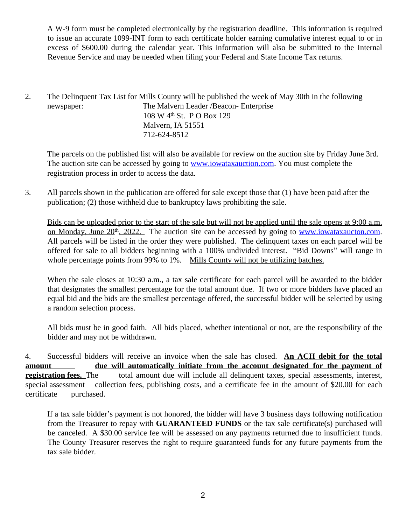A W-9 form must be completed electronically by the registration deadline. This information is required to issue an accurate 1099-INT form to each certificate holder earning cumulative interest equal to or in excess of \$600.00 during the calendar year. This information will also be submitted to the Internal Revenue Service and may be needed when filing your Federal and State Income Tax returns.

2. The Delinquent Tax List for Mills County will be published the week of <u>May 30th</u> in the following newspaper: The Malvern Leader /Beacon- Enterprise 108 W 4th St. P O Box 129 Malvern, IA 51551 712-624-8512

 The parcels on the published list will also be available for review on the auction site by Friday June 3rd. The auction site can be accessed by going to **www.iowataxauction.com**. [Y](http://www.iowataxauction.com/)ou must complete the registration process in order to access the data.

3. All parcels shown in the publication are offered for sale except those that (1) have been paid after the publication; (2) those withheld due to bankruptcy laws prohibiting the sale.

Bids can be uploaded prior to the start of the sale but will not be applied until the sale opens at 9:00 a.m. on Monday, June 20<sup>th</sup>, 2022. The auction site can be accessed by going to [www.iowataxaucton.com.](http://www.iowataxaucton.com/) All parcels will be listed in the order they were published. The delinquent taxes on each parcel will be offered for sale to all bidders beginning with a 100% undivided interest. "Bid Downs" will range in whole percentage points from 99% to 1%. Mills County will not be utilizing batches.

When the sale closes at 10:30 a.m., a tax sale certificate for each parcel will be awarded to the bidder that designates the smallest percentage for the total amount due. If two or more bidders have placed an equal bid and the bids are the smallest percentage offered, the successful bidder will be selected by using a random selection process.

All bids must be in good faith. All bids placed, whether intentional or not, are the responsibility of the bidder and may not be withdrawn.

4. Successful bidders will receive an invoice when the sale has closed. **An ACH debit for the total amount due will automatically initiate from the account designated for the payment of registration fees.** The total amount due will include all delinquent taxes, special assessments, interest, special assessment collection fees, publishing costs, and a certificate fee in the amount of \$20.00 for each certificate purchased.

If a tax sale bidder's payment is not honored, the bidder will have 3 business days following notification from the Treasurer to repay with **GUARANTEED FUNDS** or the tax sale certificate(s) purchased will be canceled. A \$30.00 service fee will be assessed on any payments returned due to insufficient funds. The County Treasurer reserves the right to require guaranteed funds for any future payments from the tax sale bidder.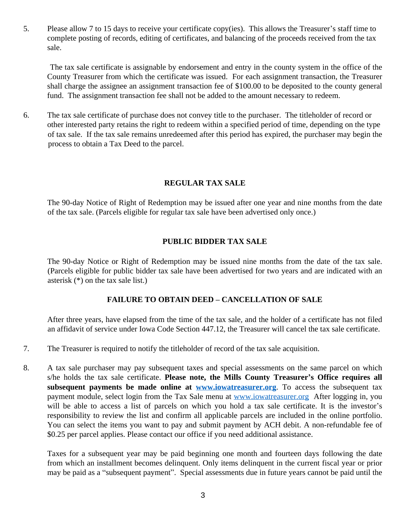5. Please allow 7 to 15 days to receive your certificate copy(ies). This allows the Treasurer's staff time to complete posting of records, editing of certificates, and balancing of the proceeds received from the tax sale.

The tax sale certificate is assignable by endorsement and entry in the county system in the office of the County Treasurer from which the certificate was issued. For each assignment transaction, the Treasurer shall charge the assignee an assignment transaction fee of \$100.00 to be deposited to the county general fund. The assignment transaction fee shall not be added to the amount necessary to redeem.

6. The tax sale certificate of purchase does not convey title to the purchaser. The titleholder of record or other interested party retains the right to redeem within a specified period of time, depending on the type of tax sale. If the tax sale remains unredeemed after this period has expired, the purchaser may begin the process to obtain a Tax Deed to the parcel.

#### **REGULAR TAX SALE**

The 90-day Notice of Right of Redemption may be issued after one year and nine months from the date of the tax sale. (Parcels eligible for regular tax sale have been advertised only once.)

#### **PUBLIC BIDDER TAX SALE**

The 90-day Notice or Right of Redemption may be issued nine months from the date of the tax sale. (Parcels eligible for public bidder tax sale have been advertised for two years and are indicated with an asterisk (\*) on the tax sale list.)

#### **FAILURE TO OBTAIN DEED – CANCELLATION OF SALE**

After three years, have elapsed from the time of the tax sale, and the holder of a certificate has not filed an affidavit of service under Iowa Code Section 447.12, the Treasurer will cancel the tax sale certificate.

- 7. The Treasurer is required to notify the titleholder of record of the tax sale acquisition.
- 8. A tax sale purchaser may pay subsequent taxes and special assessments on the same parcel on which s/he holds the tax sale certificate. **Please note, the Mills County Treasurer's Office requires all subsequent payments be made online at [www.iowatreasurer.org](http://www.iowatreasurer.org)**. To access the subsequent tax payment module, select login from the Tax Sale menu at www.jowatreasurer.org After logging in, you will be able to access a list of parcels on which you hold a tax sale certificate. It is the investor's responsibility to review the list and confirm all applicable parcels are included in the online portfolio. You can select the items you want to pay and submit payment by ACH debit. A non-refundable fee of \$0.25 per parcel applies. Please contact our office if you need additional assistance.

Taxes for a subsequent year may be paid beginning one month and fourteen days following the date from which an installment becomes delinquent. Only items delinquent in the current fiscal year or prior may be paid as a "subsequent payment". Special assessments due in future years cannot be paid until the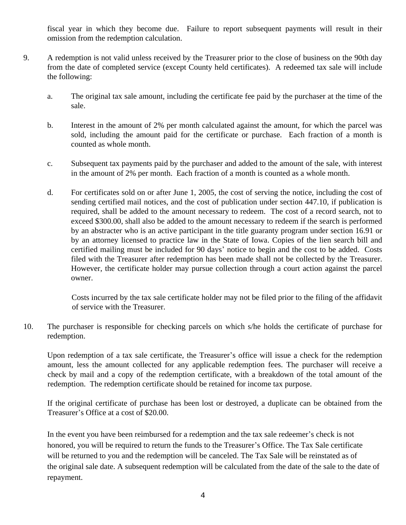fiscal year in which they become due. Failure to report subsequent payments will result in their omission from the redemption calculation.

- 9. A redemption is not valid unless received by the Treasurer prior to the close of business on the 90th day from the date of completed service (except County held certificates). A redeemed tax sale will include the following:
	- a. The original tax sale amount, including the certificate fee paid by the purchaser at the time of the sale.
	- b. Interest in the amount of 2% per month calculated against the amount, for which the parcel was sold, including the amount paid for the certificate or purchase. Each fraction of a month is counted as whole month.
	- c. Subsequent tax payments paid by the purchaser and added to the amount of the sale, with interest in the amount of 2% per month. Each fraction of a month is counted as a whole month.
	- d. For certificates sold on or after June 1, 2005, the cost of serving the notice, including the cost of sending certified mail notices, and the cost of publication under section 447.10, if publication is required, shall be added to the amount necessary to redeem. The cost of a record search, not to exceed \$300.00, shall also be added to the amount necessary to redeem if the search is performed by an abstracter who is an active participant in the title guaranty program under section 16.91 or by an attorney licensed to practice law in the State of Iowa. Copies of the lien search bill and certified mailing must be included for 90 days' notice to begin and the cost to be added. Costs filed with the Treasurer after redemption has been made shall not be collected by the Treasurer. However, the certificate holder may pursue collection through a court action against the parcel owner.

Costs incurred by the tax sale certificate holder may not be filed prior to the filing of the affidavit of service with the Treasurer.

10. The purchaser is responsible for checking parcels on which s/he holds the certificate of purchase for redemption.

Upon redemption of a tax sale certificate, the Treasurer's office will issue a check for the redemption amount, less the amount collected for any applicable redemption fees. The purchaser will receive a check by mail and a copy of the redemption certificate, with a breakdown of the total amount of the redemption. The redemption certificate should be retained for income tax purpose.

If the original certificate of purchase has been lost or destroyed, a duplicate can be obtained from the Treasurer's Office at a cost of \$20.00.

In the event you have been reimbursed for a redemption and the tax sale redeemer's check is not honored, you will be required to return the funds to the Treasurer's Office. The Tax Sale certificate will be returned to you and the redemption will be canceled. The Tax Sale will be reinstated as of the original sale date. A subsequent redemption will be calculated from the date of the sale to the date of repayment.